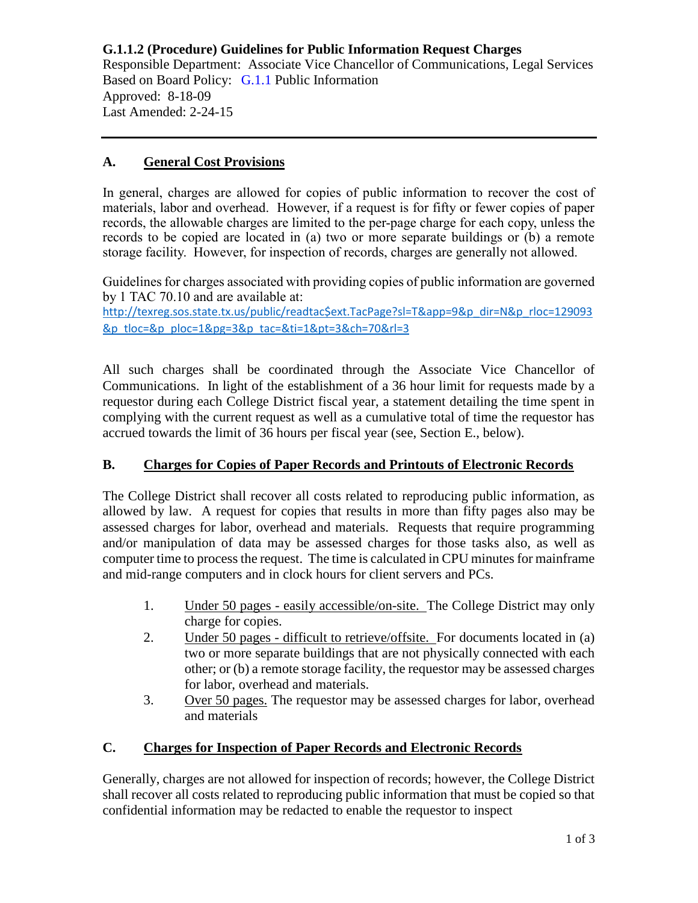**G.1.1.2 (Procedure) Guidelines for Public Information Request Charges** Responsible Department: Associate Vice Chancellor of Communications, Legal Services Based on Board Policy: [G.1.1](https://www.alamo.edu/siteassets/district/about-us/leadership/board-of-trustees/policies-pdfs/section-g/g.1.1-policy.pdf) Public Information Approved: 8-18-09 Last Amended: 2-24-15

### **A. General Cost Provisions**

In general, charges are allowed for copies of public information to recover the cost of materials, labor and overhead. However, if a request is for fifty or fewer copies of paper records, the allowable charges are limited to the per-page charge for each copy, unless the records to be copied are located in (a) two or more separate buildings or (b) a remote storage facility. However, for inspection of records, charges are generally not allowed.

Guidelines for charges associated with providing copies of public information are governed by 1 TAC 70.10 and are available at:

[http://texreg.sos.state.tx.us/public/readtac\\$ext.TacPage?sl=T&app=9&p\\_dir=N&p\\_rloc=129093](http://texreg.sos.state.tx.us/public/readtac$ext.TacPage?sl=T&app=9&p_dir=N&p_rloc=129093&p_tloc=&p_ploc=1&pg=3&p_tac=&ti=1&pt=3&ch=70&rl=3) [&p\\_tloc=&p\\_ploc=1&pg=3&p\\_tac=&ti=1&pt=3&ch=70&rl=3](http://texreg.sos.state.tx.us/public/readtac$ext.TacPage?sl=T&app=9&p_dir=N&p_rloc=129093&p_tloc=&p_ploc=1&pg=3&p_tac=&ti=1&pt=3&ch=70&rl=3)

All such charges shall be coordinated through the Associate Vice Chancellor of Communications. In light of the establishment of a 36 hour limit for requests made by a requestor during each College District fiscal year, a statement detailing the time spent in complying with the current request as well as a cumulative total of time the requestor has accrued towards the limit of 36 hours per fiscal year (see, Section E., below).

## **B. Charges for Copies of Paper Records and Printouts of Electronic Records**

The College District shall recover all costs related to reproducing public information, as allowed by law. A request for copies that results in more than fifty pages also may be assessed charges for labor, overhead and materials. Requests that require programming and/or manipulation of data may be assessed charges for those tasks also, as well as computer time to process the request. The time is calculated in CPU minutes for mainframe and mid-range computers and in clock hours for client servers and PCs.

- 1. Under 50 pages easily accessible/on-site. The College District may only charge for copies.
- 2. Under 50 pages difficult to retrieve/offsite. For documents located in (a) two or more separate buildings that are not physically connected with each other; or (b) a remote storage facility, the requestor may be assessed charges for labor, overhead and materials.
- 3. Over 50 pages. The requestor may be assessed charges for labor, overhead and materials

# **C. Charges for Inspection of Paper Records and Electronic Records**

Generally, charges are not allowed for inspection of records; however, the College District shall recover all costs related to reproducing public information that must be copied so that confidential information may be redacted to enable the requestor to inspect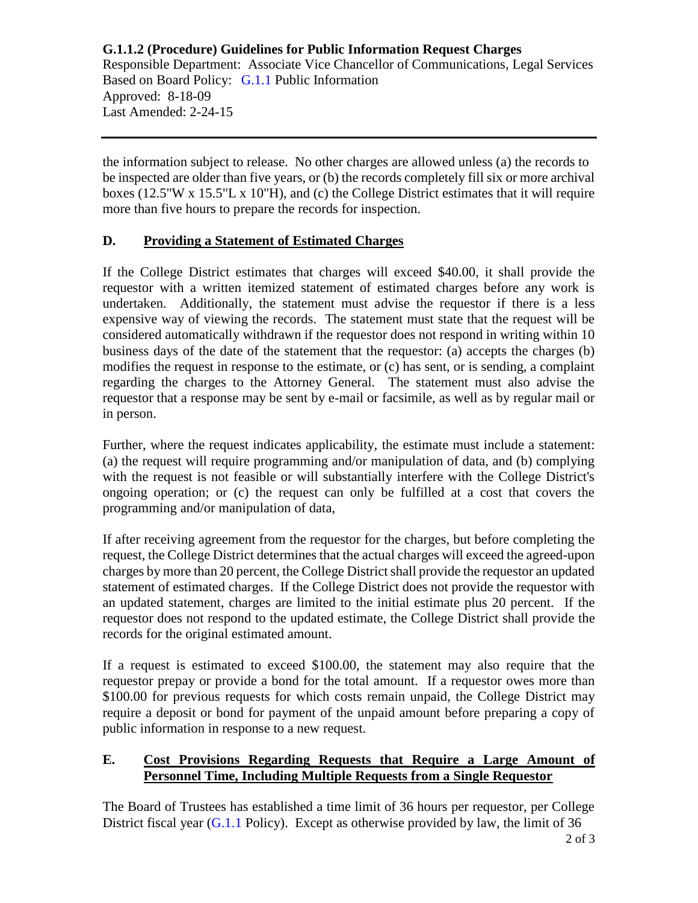**G.1.1.2 (Procedure) Guidelines for Public Information Request Charges** Responsible Department: Associate Vice Chancellor of Communications, Legal Services Based on Board Policy: [G.1.1](https://www.alamo.edu/siteassets/district/about-us/leadership/board-of-trustees/policies-pdfs/section-g/g.1.1-policy.pdf) Public Information Approved: 8-18-09 Last Amended: 2-24-15

the information subject to release. No other charges are allowed unless (a) the records to be inspected are older than five years, or (b) the records completely fill six or more archival boxes (12.5"W x 15.5"L x 10"H), and (c) the College District estimates that it will require more than five hours to prepare the records for inspection.

## **D. Providing a Statement of Estimated Charges**

If the College District estimates that charges will exceed \$40.00, it shall provide the requestor with a written itemized statement of estimated charges before any work is undertaken. Additionally, the statement must advise the requestor if there is a less expensive way of viewing the records. The statement must state that the request will be considered automatically withdrawn if the requestor does not respond in writing within 10 business days of the date of the statement that the requestor: (a) accepts the charges (b) modifies the request in response to the estimate, or (c) has sent, or is sending, a complaint regarding the charges to the Attorney General. The statement must also advise the requestor that a response may be sent by e-mail or facsimile, as well as by regular mail or in person.

Further, where the request indicates applicability, the estimate must include a statement: (a) the request will require programming and/or manipulation of data, and (b) complying with the request is not feasible or will substantially interfere with the College District's ongoing operation; or (c) the request can only be fulfilled at a cost that covers the programming and/or manipulation of data,

If after receiving agreement from the requestor for the charges, but before completing the request, the College District determines that the actual charges will exceed the agreed-upon charges by more than 20 percent, the College District shall provide the requestor an updated statement of estimated charges. If the College District does not provide the requestor with an updated statement, charges are limited to the initial estimate plus 20 percent. If the requestor does not respond to the updated estimate, the College District shall provide the records for the original estimated amount.

If a request is estimated to exceed \$100.00, the statement may also require that the requestor prepay or provide a bond for the total amount. If a requestor owes more than \$100.00 for previous requests for which costs remain unpaid, the College District may require a deposit or bond for payment of the unpaid amount before preparing a copy of public information in response to a new request.

#### **E. Cost Provisions Regarding Requests that Require a Large Amount of Personnel Time, Including Multiple Requests from a Single Requestor**

The Board of Trustees has established a time limit of 36 hours per requestor, per College District fiscal year  $(G.1.1$  Policy). Except as otherwise provided by law, the limit of 36